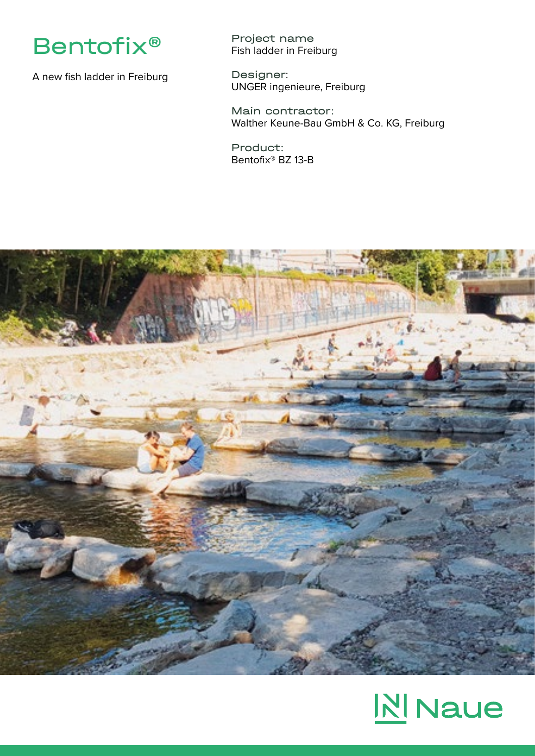

A new fish ladder in Freiburg

Project name Fish ladder in Freiburg

Designer: UNGER ingenieure, Freiburg

Main contractor: Walther Keune-Bau GmbH & Co. KG, Freiburg

Product: Bentofix® BZ 13-B



## **N** Naue